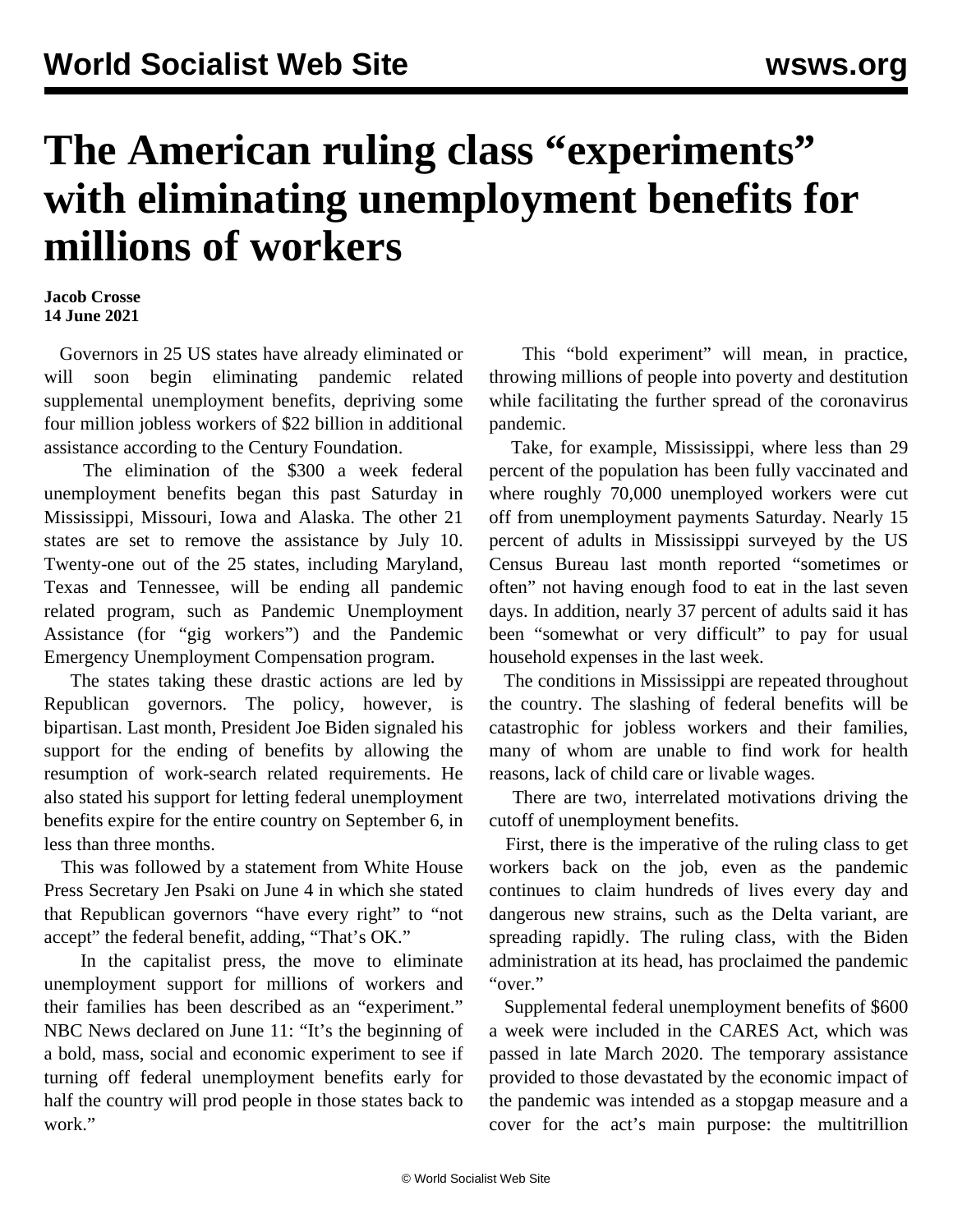## **The American ruling class "experiments" with eliminating unemployment benefits for millions of workers**

## **Jacob Crosse 14 June 2021**

 Governors in 25 US states have already eliminated or will soon begin eliminating pandemic related supplemental unemployment benefits, depriving some four million jobless workers of \$22 billion in additional assistance according to the Century Foundation.

 The elimination of the \$300 a week federal unemployment benefits began this past Saturday in Mississippi, Missouri, Iowa and Alaska. The other 21 states are set to remove the assistance by July 10. Twenty-one out of the 25 states, including Maryland, Texas and Tennessee, will be ending all pandemic related program, such as Pandemic Unemployment Assistance (for "gig workers") and the Pandemic Emergency Unemployment Compensation program.

 The states taking these drastic actions are led by Republican governors. The policy, however, is bipartisan. Last month, President Joe Biden signaled his support for the ending of benefits by allowing the resumption of work-search related requirements. He also stated his support for letting federal unemployment benefits expire for the entire country on September 6, in less than three months.

 This was followed by a statement from White House Press Secretary Jen Psaki on June 4 in which she stated that Republican governors "have every right" to "not accept" the federal benefit, adding, "That's OK."

 In the capitalist press, the move to eliminate unemployment support for millions of workers and their families has been described as an "experiment." NBC News declared on June 11: "It's the beginning of a bold, mass, social and economic experiment to see if turning off federal unemployment benefits early for half the country will prod people in those states back to work."

 This "bold experiment" will mean, in practice, throwing millions of people into poverty and destitution while facilitating the further spread of the coronavirus pandemic.

 Take, for example, Mississippi, where less than 29 percent of the population has been fully vaccinated and where roughly 70,000 unemployed workers were cut off from unemployment payments Saturday. Nearly 15 percent of adults in Mississippi surveyed by the US Census Bureau last month reported "sometimes or often" not having enough food to eat in the last seven days. In addition, nearly 37 percent of adults said it has been "somewhat or very difficult" to pay for usual household expenses in the last week.

 The conditions in Mississippi are repeated throughout the country. The slashing of federal benefits will be catastrophic for jobless workers and their families, many of whom are unable to find work for health reasons, lack of child care or livable wages.

 There are two, interrelated motivations driving the cutoff of unemployment benefits.

 First, there is the imperative of the ruling class to get workers back on the job, even as the pandemic continues to claim hundreds of lives every day and dangerous new strains, such as the Delta variant, are spreading rapidly. The ruling class, with the Biden administration at its head, has proclaimed the pandemic "over."

 Supplemental federal unemployment benefits of \$600 a week were included in the CARES Act, which was passed in late March 2020. The temporary assistance provided to those devastated by the economic impact of the pandemic was intended as a stopgap measure and a cover for the act's main purpose: the multitrillion